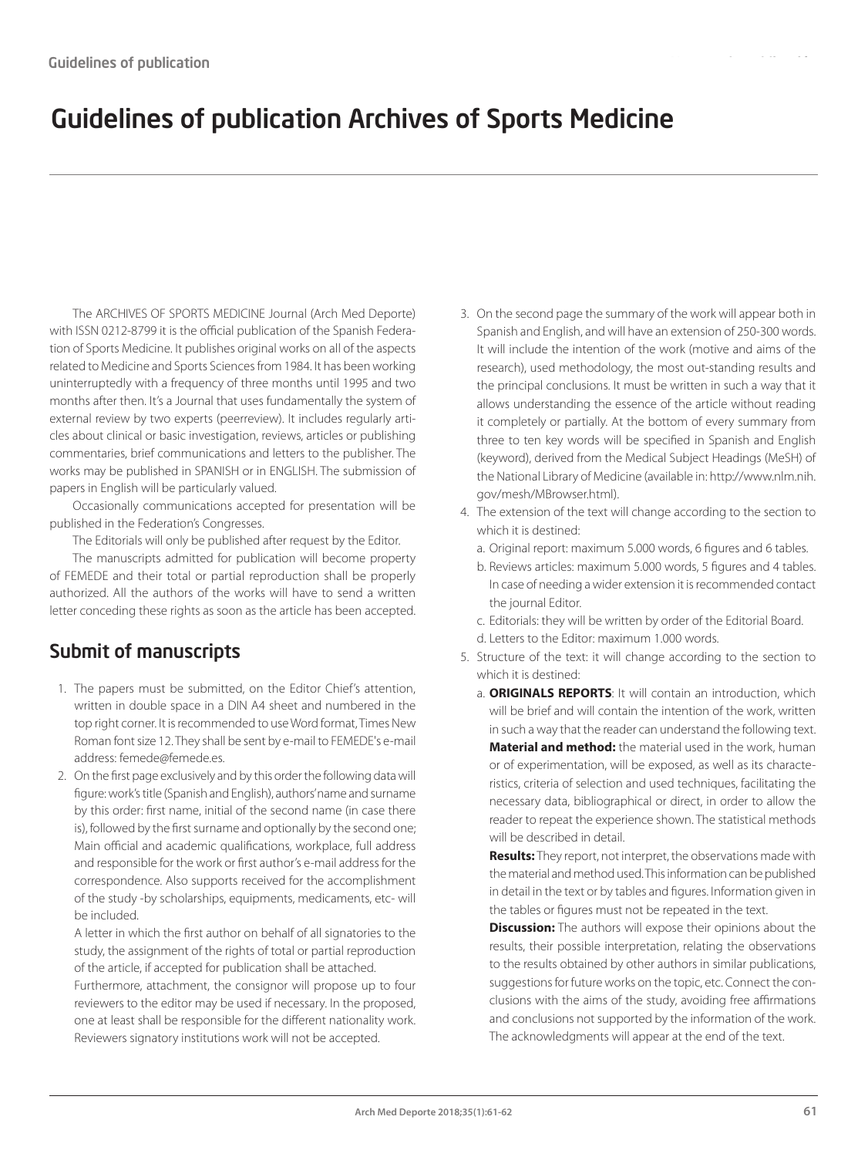## Guidelines of publication Archives of Sports Medicine

The ARCHIVES OF SPORTS MEDICINE Journal (Arch Med Deporte) with ISSN 0212-8799 it is the official publication of the Spanish Federation of Sports Medicine. It publishes original works on all of the aspects related to Medicine and Sports Sciences from 1984. It has been working uninterruptedly with a frequency of three months until 1995 and two months after then. It's a Journal that uses fundamentally the system of external review by two experts (peerreview). It includes regularly articles about clinical or basic investigation, reviews, articles or publishing commentaries, brief communications and letters to the publisher. The works may be published in SPANISH or in ENGLISH. The submission of papers in English will be particularly valued.

Occasionally communications accepted for presentation will be published in the Federation's Congresses.

The Editorials will only be published after request by the Editor.

The manuscripts admitted for publication will become property of FEMEDE and their total or partial reproduction shall be properly authorized. All the authors of the works will have to send a written letter conceding these rights as soon as the article has been accepted.

## Submit of manuscripts

- 1. The papers must be submitted, on the Editor Chief's attention, written in double space in a DIN A4 sheet and numbered in the top right corner. It is recommended to use Word format, Times New Roman font size 12. They shall be sent by e-mail to FEMEDE's e-mail address: femede@femede.es.
- 2. On the first page exclusively and by this order the following data will figure: work's title (Spanish and English), authors' name and surname by this order: first name, initial of the second name (in case there is), followed by the first surname and optionally by the second one; Main official and academic qualifications, workplace, full address and responsible for the work or first author's e-mail address for the correspondence. Also supports received for the accomplishment of the study -by scholarships, equipments, medicaments, etc- will be included.

A letter in which the first author on behalf of all signatories to the study, the assignment of the rights of total or partial reproduction of the article, if accepted for publication shall be attached.

Furthermore, attachment, the consignor will propose up to four reviewers to the editor may be used if necessary. In the proposed, one at least shall be responsible for the different nationality work. Reviewers signatory institutions work will not be accepted.

- 3. On the second page the summary of the work will appear both in Spanish and English, and will have an extension of 250-300 words. It will include the intention of the work (motive and aims of the research), used methodology, the most out-standing results and the principal conclusions. It must be written in such a way that it allows understanding the essence of the article without reading it completely or partially. At the bottom of every summary from three to ten key words will be specified in Spanish and English (keyword), derived from the Medical Subject Headings (MeSH) of the National Library of Medicine (available in: http://www.nlm.nih. gov/mesh/MBrowser.html).
- 4. The extension of the text will change according to the section to which it is destined:
	- a. Original report: maximum 5.000 words, 6 figures and 6 tables.
	- b. Reviews articles: maximum 5.000 words, 5 figures and 4 tables. In case of needing a wider extension it is recommended contact the journal Editor.
	- c. Editorials: they will be written by order of the Editorial Board. d. Letters to the Editor: maximum 1.000 words.
- 5. Structure of the text: it will change according to the section to which it is destined:
	- a. **ORIGINALS REPORTS**: It will contain an introduction, which will be brief and will contain the intention of the work, written in such a way that the reader can understand the following text. **Material and method:** the material used in the work, human or of experimentation, will be exposed, as well as its characteristics, criteria of selection and used techniques, facilitating the necessary data, bibliographical or direct, in order to allow the reader to repeat the experience shown. The statistical methods will be described in detail.

**Results:** They report, not interpret, the observations made with the material and method used. This information can be published in detail in the text or by tables and figures. Information given in the tables or figures must not be repeated in the text.

**Discussion:** The authors will expose their opinions about the results, their possible interpretation, relating the observations to the results obtained by other authors in similar publications, suggestions for future works on the topic, etc. Connect the conclusions with the aims of the study, avoiding free affirmations and conclusions not supported by the information of the work. The acknowledgments will appear at the end of the text.